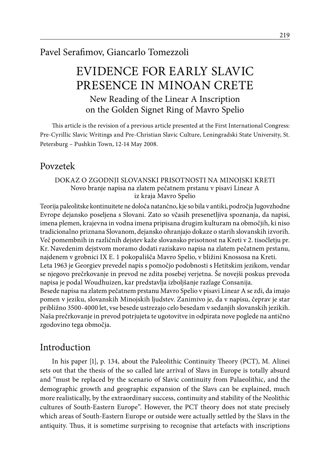# Pavel Serafimov, Giancarlo Tomezzoli

# EVIDENCE FOR EARLY SLAVIC PRESENCE IN MINOAN CRETE New Reading of the Linear A Inscription on the Golden Signet Ring of Mavro Spelio

This article is the revision of a previous article presented at the First International Congress: Pre-Cyrillic Slavic Writings and Pre-Christian Slavic Culture, Leningradski State University, St. Petersburg – Pushkin Town, 12-14 May 2008.

# Povzetek

#### Dokaz o zgodnji Slovanski prisotnosti na minojski Kreti Novo branje napisa na zlatem pečatnem prstanu v pisavi Linear A iz kraja Mavro Spelio

Teorija paleolitske kontinuitete ne določa natančno, kje so bila v antiki, področja Jugovzhodne Evrope dejansko poseljena s Slovani. Zato so včasih presenetljiva spoznanja, da napisi, imena plemen, krajevna in vodna imena pripisana drugim kulturam na območjih, ki niso tradicionalno priznana Slovanom, dejansko ohranjajo dokaze o starih slovanskih izvorih. Več pomembnih in različnih dejstev kaže slovansko prisotnost na Kreti v 2. tisočletju pr. Kr. Navedenim dejstvom moramo dodati raziskavo napisa na zlatem pečatnem prstanu, najdenem v grobnici IX E. 1 pokopališča Mavro Spelio, v bližini Knossosa na Kreti. Leta 1963 je Georgiev prevedel napis s pomočjo podobnosti s Hetitskim jezikom, vendar se njegovo prečrkovanje in prevod ne zdita posebej verjetna. Še novejši poskus prevoda napisa je podal Woudhuizen, kar predstavlja izboljšanje razlage Consanija. Besede napisa na zlatem pečatnem prstanu Mavro Spelio v pisavi Linear A se zdi, da imajo pomen v jeziku, slovanskih Minojskih ljudstev. Zanimivo je, da v napisu, čeprav je star

približno 3500-4000 let, vse besede ustrezajo celo besedam v sedanjih slovanskih jezikih. Naša prečrkovanje in prevod potrjujeta te ugotovitve in odpirata nove poglede na antično zgodovino tega območja.

# Introduction

In his paper [1], p. 134, about the Paleolithic Continuity Theory (PCT), M. Alinei sets out that the thesis of the so called late arrival of Slavs in Europe is totally absurd and "must be replaced by the scenario of Slavic continuity from Palaeolithic, and the demographic growth and geographic expansion of the Slavs can be explained, much more realistically, by the extraordinary success, continuity and stability of the Neolithic cultures of South-Eastern Europe". However, the PCT theory does not state precisely which areas of South-Eastern Europe or outside were actually settled by the Slavs in the antiquity. Thus, it is sometime surprising to recognise that artefacts with inscriptions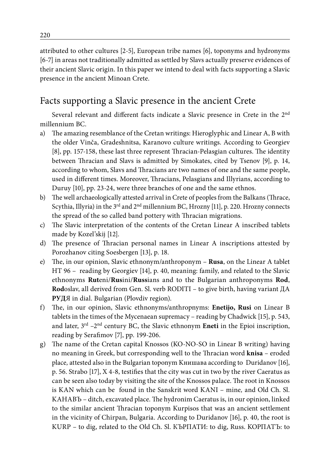attributed to other cultures [2-5], European tribe names [6], toponyms and hydronyms [6-7] in areas not traditionally admitted as settled by Slavs actually preserve evidences of their ancient Slavic origin. In this paper we intend to deal with facts supporting a Slavic presence in the ancient Minoan Crete.

# Facts supporting a Slavic presence in the ancient Crete

Several relevant and different facts indicate a Slavic presence in Crete in the 2nd millennium BC.

- a) The amazing resemblance of the Cretan writings: Hieroglyphic and Linear A, B with the older Vinča, Gradeshnitsa, Karanovo culture writings. According to Georgiev [8], pp. 157-158, these last three represent Thracian-Pelasgian cultures. The identity between Thracian and Slavs is admitted by Simokates, cited by Tsenov [9], p. 14, according to whom, Slavs and Thracians are two names of one and the same people, used in different times. Moreover, Thracians, Pelasgians and Illyrians, according to Duruy [10], pp. 23-24, were three branches of one and the same ethnos.
- b) The well archaeologically attested arrival in Crete of peoples from the Balkans (Thrace, Scythia, Illyria) in the  $3<sup>rd</sup>$  and  $2<sup>nd</sup>$  millennium BC, Hrozny [11], p. 220. Hrozny connects the spread of the so called band pottery with Thracian migrations.
- c) The Slavic interpretation of the contents of the Cretan Linear A inscribed tablets made by Kozel'skij [12].
- d) The presence of Thracian personal names in Linear A inscriptions attested by Porozhanov citing Soesbergen [13], p. 18.
- e) The, in our opinion, Slavic ethnonym/anthroponym **Rusa**, on the Linear A tablet HT 96 – reading by Georgiev [14], p. 40, meaning: family, and related to the Slavic ethnonyms **Rut**eni/**Rus**ini/**Russ**ians and to the Bulgarian anthroponyms **Rod**, **Rod**oslav, all derived from Gen. Sl. verb RODITI – to give birth, having variant ДA **PУД**Я in dial. Bulgarian (Plovdiv region).
- f) The, in our opinion, Slavic ethnonyms/anthropnyms: **Enetijo, Rusi** on Linear B tablets in the times of the Mycenaean supremacy – reading by Chadwick [15], p. 543, and later, 3rd –2nd century BC, the Slavic ethnonym **Eneti** in the Epioi inscription, reading by Serafimov [7], pp. 199-206.
- g) The name of the Cretan capital Knossos (KO-NO-SO in Linear B writing) having no meaning in Greek, but corresponding well to the Thracian word **knisa** – eroded place*,* attested also in the Bulgarian toponym Kнишава according to Duridanov [16], p. 56. Strabo [17], X 4-8, testifies that the city was cut in two by the river Caeratus as can be seen also today by visiting the site of the Knossos palace. The root in Knossos is KAN which can be found in the Sanskrit word KANI – mine*,* and Old Ch. Sl. KAHABЪ – ditch, excavated place. The hydronim Caeratus is, in our opinion, linked to the similar ancient Thracian toponym Kurpisos that was an ancient settlement in the vicinity of Chirpan, Bulgaria. According to Duridanov [16], p. 40, the root is KURP – to dig, related to the Old Ch. Sl. КЪРПАТИ: to dig, Russ. KOPПАTЪ: to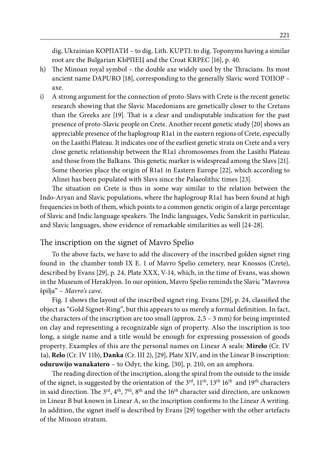dig, Ukrainian KOPПАТИ – to dig*,* Lith. KUPTI: to dig. Toponyms having a similar root are the Bulgarian KЬPПEЦ and the Croat KRPEC [16], p. 40.

- h) The Minoan royal symbol the double axe widely used by the Thracians. Its most ancient name DAPURO [18], corresponding to the generally Slavic word TOПOP – axe.
- i) A strong argument for the connection of proto-Slavs with Crete is the recent genetic research showing that the Slavic Macedonians are genetically closer to the Cretans than the Greeks are [19]. That is a clear and undisputable indication for the past presence of proto-Slavic people on Crete. Another recent genetic study [20] shows an appreciable presence of the haplogroup R1a1 in the eastern regions of Crete, especially on the Lasithi Plateau. It indicates one of the earliest genetic strata on Crete and a very close genetic relationship between the R1a1 chromosomes from the Lasithi Plateau and those from the Balkans. This genetic marker is widespread among the Slavs [21]. Some theories place the origin of R1a1 in Eastern Europe [22], which according to Alinei has been populated with Slavs since the Palaeolithic times [23].

The situation on Crete is thus in some way similar to the relation between the Indo-Aryan and Slavic populations, where the haplogroup R1a1 has been found at high frequencies in both of them, which points to a common genetic origin of a large percentage of Slavic and Indic language speakers. The Indic languages, Vedic Sanskrit in particular, and Slavic languages, show evidence of remarkable similarities as well [24-28].

### The inscription on the signet of Mavro Spelio

To the above facts, we have to add the discovery of the inscribed golden signet ring found in the chamber tomb IX E. 1 of Mavro Spelio cemetery, near Knossos (Crete), described by Evans [29], p. 24, Plate XXX, V-14, which, in the time of Evans, was shown in the Museum of Heraklyon. In our opinion, Mavro Spelio reminds the Slavic "Mavrova špilja" – *Mavro's cave*.

Fig. 1 shows the layout of the inscribed signet ring. Evans [29], p. 24, classified the object as "Gold Signet-Ring", but this appears to us merely a formal definition. In fact, the characters of the inscription are too small (approx. 2,5 – 3 mm) for being imprinted on clay and representing a recognizable sign of property. Also the inscription is too long, a single name and a title would be enough for expressing possession of goods property. Examples of this are the personal names on Linear A seals: **Mirelo** (Cr. IV 1a), **Relo** (Cr. IV 11b), **Danka** (Cr. III 2), [29], Plate XIV, and in the Linear B inscription: **oduruwijo wanakatero** – to Odyr, the king*,* [30], p. 210, on an amphora.

The reading direction of the inscription, along the spiral from the outside to the inside of the signet, is suggested by the orientation of the 3<sup>rd</sup>, 11<sup>th</sup>, 13<sup>th</sup> 16<sup>th</sup> and 19<sup>th</sup> characters in said direction. The  $3^{\text{rd}}, 4^{\text{th}}, 7^{\text{th}}, 8^{\text{th}}$  and the 16<sup>th</sup> character said direction, are unknown in Linear B but known in Linear A, so the inscription conforms to the Linear A writing. In addition, the signet itself is described by Evans [29] together with the other artefacts of the Minoan stratum.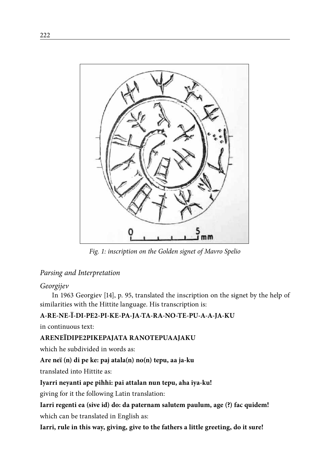

*Fig. 1: inscription on the Golden signet of Mavro Spelio*

# *Parsing and Interpretation*

### *Georgijev*

In 1963 Georgiev [14], p. 95, translated the inscription on the signet by the help of similarities with the Hittite language. His transcription is:

# **A-RE-NE-Ï-DI-PE2-PI-KE-PA-JA-TA-RA-NO-TE-PU-A-A-JA-KU**

in continuous text:

# **ARENEÏDIPE2PIKEPAJATA RANOTEPUAAJAKU**

which he subdivided in words as:

# **Are neï (n) di pe ke: paj atala(n) no(n) tepu, aa ja-ku**

translated into Hittite as:

# **Iyarri neyanti ape pihhi: pai attalan nun tepu, aha iya-ku!**

giving for it the following Latin translation:

**Iarri regenti ea (sive id) do: da paternam salutem paulum, age (?) fac quidem!** which can be translated in English as:

**Iarri, rule in this way, giving, give to the fathers a little greeting, do it sure!**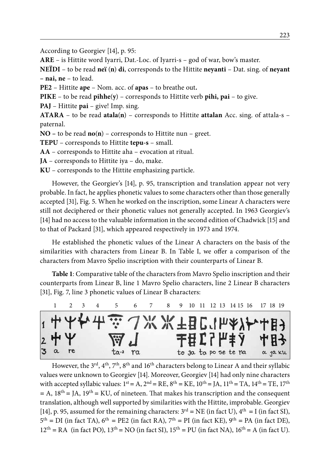According to Georgiev [14], p. 95:

**ARE** – is Hittite word Iyarri, Dat.-Loc. of Iyarri-s – god of war, bow's master*.*

**NEÏDI** – to be read **neï** (**n**) **di**, corresponds to the Hittite **neyanti** – Dat. sing. of **neyant – nai, ne** – to lead.

**PE2** – Hittite **ape** – Nom. acc. of **apas** – to breathe out**.**

**PIKE** – to be read **pihhe**(**y**) – corresponds to Hittite verb **pihi, pai** – to give.

**PAJ** – Hittite **pai** – give! Imp. sing.

**ATARA** – to be read **atala**(**n**) – corresponds to Hittite **attalan** Acc. sing. of attala-s – paternal.

**NO –** to be read **no**(**n**) – corresponds to Hittite nun – greet.

**TEPU** – corresponds to Hittite **tepu-s** – small.

**AA** – corresponds to Hittite aha – evocation at ritual.

**JA** – corresponds to Hittite iya – do, make.

**KU** – corresponds to the Hittite emphasizing particle.

However, the Georgiev's [14], p. 95, transcription and translation appear not very probable. In fact, he applies phonetic values to some characters other than those generally accepted [31], Fig. 5. When he worked on the inscription, some Linear A characters were still not deciphered or their phonetic values not generally accepted. In 1963 Georgiev's [14] had no access to the valuable information in the second edition of Chadwick [15] and to that of Packard [31], which appeared respectively in 1973 and 1974.

He established the phonetic values of the Linear A characters on the basis of the similarities with characters from Linear B. In Table I, we offer a comparison of the characters from Mavro Spelio inscription with their counterparts of Linear B.

**Table 1**: Comparative table of the characters from Mavro Spelio inscription and their counterparts from Linear B, line 1 Mavro Spelio characters, line 2 Linear B characters [31], Fig. 7, line 3 phonetic values of Linear B characters:



However, the  $3^{rd}$ ,  $4^{th}$ ,  $7^{th}$ ,  $8^{th}$  and  $16^{th}$  characters belong to Linear A and their syllabic values were unknown to Georgiev [14]. Moreover, Georgiev [14] had only nine characters with accepted syllabic values:  $1<sup>st</sup> = A$ ,  $2<sup>nd</sup> = RE$ ,  $8<sup>th</sup> = KE$ ,  $10<sup>th</sup> = JA$ ,  $11<sup>th</sup> = TA$ ,  $14<sup>th</sup> = TE$ ,  $17<sup>th</sup>$ *=* A, 18th *=* JA, 19th *=* KU, of nineteen. That makes his transcription and the consequent translation, although well supported by similarities with the Hittite, improbable. Georgiev [14], p. 95, assumed for the remaining characters:  $3<sup>rd</sup>$  = NE (in fact U),  $4<sup>th</sup>$  = I (in fact SI),  $5<sup>th</sup> = DI$  (in fact TA),  $6<sup>th</sup> = PE2$  (in fact RA),  $7<sup>th</sup> = PI$  (in fact KE),  $9<sup>th</sup> = PA$  (in fact DE),  $12<sup>th</sup> = RA$  (in fact PO),  $13<sup>th</sup> = NO$  (in fact SI),  $15<sup>th</sup> = PU$  (in fact NA),  $16<sup>th</sup> = A$  (in fact U).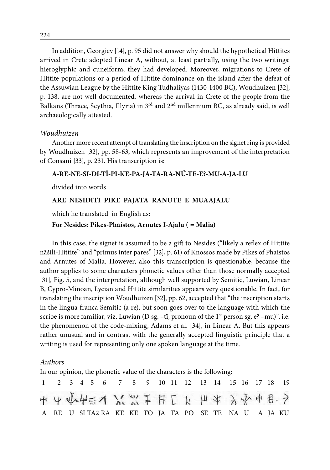In addition, Georgiev [14], p. 95 did not answer why should the hypothetical Hittites arrived in Crete adopted Linear A, without, at least partially, using the two writings: hieroglyphic and cuneiform, they had developed. Moreover, migrations to Crete of Hittite populations or a period of Hittite dominance on the island after the defeat of the Assuwian League by the Hittite King Tudhaliyas (1430-1400 BC), Woudhuizen [32], p. 138, are not well documented, whereas the arrival in Crete of the people from the Balkans (Thrace, Scythia, Illyria) in 3rd and 2nd millennium BC, as already said, is well archaeologically attested.

#### *Woudhuizen*

Another more recent attempt of translating the inscription on the signet ring is provided by Woudhuizen [32], pp. 58-63, which represents an improvement of the interpretation of Consani [33], p. 231. His transcription is:

#### **A-RE-NE-SI-DI-TĪ-PI-KE-PA-JA-TA-RA-NŰ-TE-E?-MU-A-JA-LU**

divided into words

#### **ARE NESIDITI PIKE PAJATA RANUTE E MUAAJALU**

which he translated in English as:

#### **For Nesides: Pikes-Phaistos, Arnutes I-Ajalu (** *=* **Malia)**

In this case, the signet is assumed to be a gift to Nesides ("likely a reflex of Hittite nāšili-Hittite" and "primus inter pares" [32], p. 61) of Knossos made by Pikes of Phaistos and Arnutes of Malia. However, also this transcription is questionable, because the author applies to some characters phonetic values other than those normally accepted [31], Fig. 5, and the interpretation, although well supported by Semitic, Luwian, Linear B, Cypro-Minoan, Lycian and Hittite similarities appears very questionable. In fact, for translating the inscription Woudhuizen [32], pp. 62, accepted that "the inscription starts in the lingua franca Semitic (a-re), but soon goes over to the language with which the scribe is more familiar, viz. Luwian (D sg. –tï, pronoun of the  $1<sup>st</sup>$  person sg. e? –mu)", i.e. the phenomenon of the code-mixing, Adams et al. [34], in Linear A. But this appears rather unusual and in contrast with the generally accepted linguistic principle that a writing is used for representing only one spoken language at the time.

#### *Authors*

In our opinion, the phonetic value of the characters is the following:

|  |  |  | 1 2 3 4 5 6 7 8 9 10 11 12 13 14 15 16 17 18 19     |  |  |  |  |  |  |
|--|--|--|-----------------------------------------------------|--|--|--|--|--|--|
|  |  |  | 中山峰小东北山日开下下,此水中和子                                   |  |  |  |  |  |  |
|  |  |  | A RE U SITA2RA KE KE TO JA TA PO SE TE NA U A JA KU |  |  |  |  |  |  |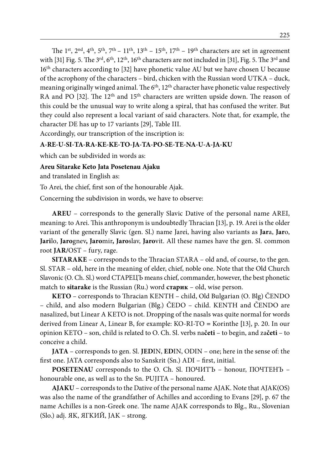The 1<sup>st</sup>, 2<sup>nd</sup>, 4<sup>th</sup>, 5<sup>th</sup>, 7<sup>th</sup> – 11<sup>th</sup>, 13<sup>th</sup> – 15<sup>th</sup>, 17<sup>th</sup> – 19<sup>th</sup> characters are set in agreement with [31] Fig. 5. The 3<sup>rd</sup>, 6<sup>th</sup>, 12<sup>th</sup>, 16<sup>th</sup> characters are not included in [31], Fig. 5. The 3<sup>rd</sup> and 16th characters according to [32] have phonetic value AU but we have chosen U because of the acrophony of the characters – bird, chicken with the Russian word UTKA – duck, meaning originally winged animal. The  $6<sup>th</sup>$ ,  $12<sup>th</sup>$  character have phonetic value respectively RA and PO [32]. The  $12<sup>th</sup>$  and  $15<sup>th</sup>$  characters are written upside down. The reason of this could be the unusual way to write along a spiral, that has confused the writer. But they could also represent a local variant of said characters. Note that, for example, the character DE has up to 17 variants [29], Table III.

Accordingly, our transcription of the inscription is:

#### **A-RE-U-SI-TA-RA-KE-KE-TO-JA-TA-PO-SE-TE-NA-U-A-JA-KU**

which can be subdivided in words as:

#### **Areu Sitarake Keto Jata Posetenau Ajaku**

and translated in English as:

To Arei, the chief, first son of the honourable Ajak.

Concerning the subdivision in words, we have to observe:

**AREU** – corresponds to the generally Slavic Dative of the personal name AREI, meaning: to Arei. This anthroponym is undoubtedly Thracian **[**13], p. 19. Arei is the older variant of the generally Slavic (gen. Sl.) name Jarei, having also variants as **Jar**a, **Jar**o, **Jari**lo, **Jaro**gnev**, Jaro**mir**, Jaro**slav, **Jaro**vit. All these names have the gen. Sl. common root **JAR/**OST – fury, rage.

**SITARAKE** – corresponds to the Thracian STARA – old and, of course, to the gen. Sl. STAR – old, here in the meaning of elder, chief, noble one. Note that the Old Church Slavonic (O. Ch. Sl.) word CTAPEЦЪ means chief, commander, however, the best phonetic match to **sitarake** is the Russian (Ru.) word **старик** – old, wise person.

**KETO** – corresponds to Thracian KENTH – child, Old Bulgarian (O. Blg) ČENDO – child, and also modern Bulgarian (Blg.) ČEDO – child. KENTH and ČENDO are nasalized, but Linear A KETO is not. Dropping of the nasals was quite normal for words derived from Linear A, Linear B, for example: KO-RI-TO *=* Korinthe **[**13], p. 20. In our opinion KETO – son, child is related to O. Ch. Sl. verbs na**četi** – to begin, and za**četi** – to conceive a child.

**JATA** – corresponds to gen. Sl. **JED**IN, **ED**IN, ODIN – one; here in the sense of: the first one. JATA corresponds also to Sanskrit (Sn.) ADI – first, initial.

**POSETENAU** corresponds to the O. Ch. Sl. ПОЧИТЪ – honour, ПОЧТЕНЪ – honourable one, as well as to the Sn. PUJITA – honoured.

**AJAKU** – corresponds to the Dative of the personal name AJAK. Note that AJAK(OS) was also the name of the grandfather of Achilles and according to Evans [29], p. 67 the name Achilles is a non-Greek one. The name AJAK corresponds to Blg., Ru., Slovenian (Slo.) adj. ЯK, ЯГKИЙ, JAK – strong.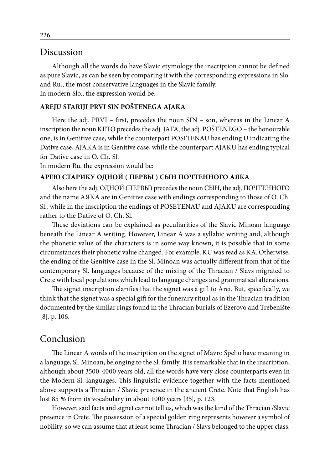### Discussion

Although all the words do have Slavic etymology the inscription cannot be defined as pure Slavic, as can be seen by comparing it with the corresponding expressions in Slo. and Ru., the most conservative languages in the Slavic family. In modern Slo., the expression would be:

#### **AREJU STARIJI PRVI SIN POŠTENEGA AJAKA**

Here the adj. PRVI – first, precedes the noun SIN – son, whereas in the Linear A inscription the noun KETO precedes the adj. JATA, the adj. POŠTENEGO – the honourable one, is in Genitive case, while the counterpart POSITENAU has ending U indicating the Dative case, AJAKA is in Genitive case, while the counterpart AJAKU has ending typical for Dative case in O. Ch. Sl.

In modern Ru. the expression would be:

#### **APEЮ CTAPИKУ OДHOЙ ( ПEPBЫ ) CЫH ПOЧTEHHOГO AЯKA**

Also here the adj. OДHOЙ (ПEPBЫ) precedes the noun CЫH, the adj. ПОЧТЕННOГО and the name АЯКА are in Genitive case with endings corresponding to those of O. Ch. Sl., while in the inscription the endings of POSETENA**U** and AJAK**U** are corresponding rather to the Dative of O. Ch. Sl.

These deviations can be explained as peculiarities of the Slavic Minoan language beneath the Linear A writing. However, Linear A was a syllabic writing and, although the phonetic value of the characters is in some way known, it is possible that in some circumstances their phonetic value changed. For example, KU was read as KA. Otherwise, the ending of the Genitive case in the Sl. Minoan was actually different from that of the contemporary Sl. languages because of the mixing of the Thracian / Slavs migrated to Crete with local populations which lead to language changes and grammatical alterations.

The signet inscription clarifies that the signet was a gift to Arei. But, specifically, we think that the signet was a special gift for the funerary ritual as in the Thracian tradition documented by the similar rings found in the Thracian burials of Ezerovo and Trebenište [8], p. 106.

# Conclusion

The Linear A words of the inscription on the signet of Mavro Spelio have meaning in a language, Sl. Minoan, belonging to the Sl. family. It is remarkable that in the inscription, although about 3500-4000 years old, all the words have very close counterparts even in the Modern Sl. languages. This linguistic evidence together with the facts mentioned above supports a Thracian / Slavic presence in the ancient Crete. Note that English has lost 85 *%* from its vocabulary in about 1000 years [35], p. 123.

However, said facts and signet cannot tell us, which was the kind of the Thracian /Slavic presence in Crete. The possession of a special golden ring represents however a symbol of nobility, so we can assume that at least some Thracian / Slavs belonged to the upper class.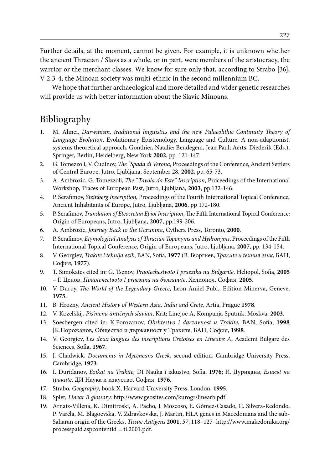Further details, at the moment, cannot be given. For example, it is unknown whether the ancient Thracian / Slavs as a whole, or in part, were members of the aristocracy, the warrior or the merchant classes. We know for sure only that, according to Strabo [36], V-2.3-4, the Minoan society was multi-ethnic in the second millennium BC.

We hope that further archaeological and more detailed and wider genetic researches will provide us with better information about the Slavic Minoans.

# Bibliography

- 1. M. Alinei, *Darwinism, traditional linguistics and the new Palaeolithic Continuity Theory of Language Evolution*, Evolutionary Epistemology, Language and Culture. A non-adaptionist, systems theoretical approach, Gonthier, Natalie; Bendegem, Jean Paul; Aerts, Diederik (Eds.), Springer, Berlin, Heidelberg, New York **2002**, pp. 121-147.
- 2. G. Tomezzoli, V. Čudinov, *The "Spada di Verona*, Proceedings of the Conference, Ancient Settlers of Central Europe, Jutro, Ljubljana, September 28. **2002**, pp. 65-73.
- 3. A. Ambrozic, G. Tomezzoli, *The "Tavola da Este" Inscription*, Proceedings of the International Workshop, Traces of European Past, Jutro, Ljubljana, **2003**, pp.132-146.
- 4. P. Serafimov, *Steinberg Inscription*, Proceedings of the Fourth International Topical Conference, Ancient Inhabitants of Europe, Jutro, Ljubljana, **2006**, pp 172-180.
- 5. P. Serafimov, *Translation of Eteocretan Epioi Inscription*, The Fifth International Topical Conference: Origin of Europeans, Jutro, Ljubljana, **2007**, pp.199-206.
- 6. A. Ambrozic, *Journey Back to the Garumna*, Cythera Press, Toronto, **2000**.
- 7. P. Serafimov, *Etymological Analysis of Thracian Toponyms and Hydronyms*, Proceedings of the Fifth International Topical Conference, Origin of Europeans, Jutro, Ljubljana, **2007**, pp. 134-154.
- 8. V. Georgiev, *Trakite i tehnija ezik*, BAN, Sofia, **1977** (В. Георгиев, *Тракиtе и tехния език*, БАН, София, **1977**).
- 9. T. Simokates cited in: G. Tsenov, *Praotechestvoto I praezika na Bulgarite,* Heliopol, Sofia, **2005** – Г. Ценов, *Праоtечесtвоtо I рrаезика на българиtе*, Хелиопол, София, **2005**.
- 10. V. Duruy, *The World of the Legendary Greece*, Leon Amiel Publ., Edition Minerva, Geneve, **1975**.
- 11. B. Hrozny, *Ancient History of Western Asia, India and Crete*, Artia, Prague **1978**.
- 12. V. Kozel'skij, *Pis'mena antičnych slavian*, Krit; Linejoe A, Kompanja Sputnik, Moskva, **2003**.
- 13. Soesbergen cited in: K.Porozanov, *Obshtestvo i darzavnost u Trakite*, BAN, Sofia, **1998** [K.Порожанов, Общество и държавност у Tраките, БАН, София, **1998**.
- 14. V. Georgiev, *Les deux langues des inscriptions Cretoises en Lineaire A*, Academi Bulgare des Sciences, Sofia, **1967**.
- 15. J. Chadwick, *Documents in Myceneans Greek*, second edition, Cambridge University Press, Cambridge, **1973**.
- 16. I. Duridanov, *Ezikat na Trakite,* DI Nauka i izkustvo, Sofia, **1976**; И. Дуриданв, *Eзикъt на tракиtе*, ДИ Наука и изкуство, София, **1976**.
- 17. Strabo, *Geography*, book X, Harvard University Press, London, **1995**.
- 18. Splet, *Linear B glossary*: http://www.geosites.com/kurogr/linearb.pdf.
- 19. Arnaiz-Villena, K. Dimitroski, A. Pacho, J. Moscoso, E. Gómez-Casado, C. Silvera-Redondo, P. Varela, M. Blagoevska, V. Zdravkovska, J. Martın, HLA genes in Macedonians and the sub-Saharan origin of the Greeks, *Tissue Antigens* **2001**, *57*, 118–127- http://www.makedonika.org/ processpaid.aspcontentid *=* ti.2001.pdf.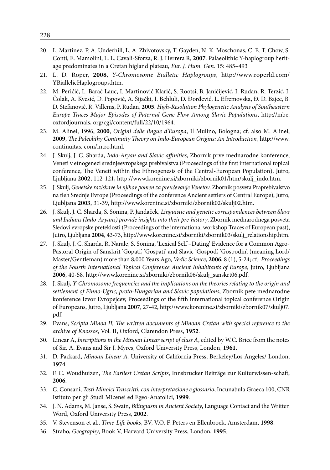- 20. L. Martinez, P. A. Underhill, L. A. Zhivotovsky, T. Gayden, N. K. Moschonas, C. E. T. Chow, S. Conti, E. Mamolini, L. L. Cavali-Sforza, R. J. Herrera R, **2007**. Palaeolithic Y-haplogroup heritage predominates in a Cretan higland plateau, *Eur. J. Hum. Gen.* 15: 485–493
- 21. L. D. Roper, **2008**, *Y-Chromosome Bialletic Haplogroups*, http://www.roperld.com/ YBiallelicHaplogroups.htm.
- 22. M. Perićić, L. Barać Lauc, I. Martinović Klarić, S. Rootsi, B. Janićijević, I. Rudan, R. Terzić, I. Čolak, A. Kvesić, D. Popović, A. Šijački, I. Behluli, D. Đorđević, L. Efremovska, Đ. D. Bajec, B. D. Stefanović, R. Villems, P. Rudan, **2005**. *High-Resolution Phylogenetic Analysis of Southeastern Europe Traces Major Episodes of Paternal Gene Flow Among Slavic Populations*, http://mbe. oxfordjournals, org/cgi/content/full/22/10/1964.
- 23. M. Alinei, 1996, **2000**, *Origini delle lingue d'Europa*, Il Mulino, Bologna; cf. also M. Alinei, **2009**, *The Paleolithy Continuity Theory on Indo-European Origins: An Introduction*, http://www. continuitas. com/intro.html.
- 24. J. Skulj, J. C. Sharda, *Indo-Aryan and Slavic affinities*, Zbornik prve mednarodne konference, Veneti v etnogenezi srednjeevropskega prebivalstva (Proceedings of the first international topical conference, The Veneti within the Ethnogenesis of the Central-European Population), Jutro, Ljubljana **2002**, 112-121, http://www.korenine.si/zborniki/zbornik01/htm/skulj\_indo.htm.
- 25. J. Skulj, *Genetske raziskave in njihov pomen za preučevanje Venetov*. Zbornik posveta Praprebivalstvo na tleh Srednje Evrope (Proceedings of the conference Ancient settlers of Central Europe), Jutro, Ljubljana **2003**, 31-39, http://www.korenine.si/zborniki/zbornik02/skulj02.htm.
- 26. J. Skulj, J. C. Sharda, S. Sonina, P. Jandaček, *Linguistic and genetic correspondences between Slavs and Indians (Indo-Aryans) provide insights into their pre-history*. Zbornik mednarodnega posveta Sledovi evropske preteklosti (Proceedings of the international workshop Traces of European past), Jutro, Ljubljana **2004**, 43-73, http://www.korenine.si/zborniki/zbornik03/skulj\_relationship.htm.
- 27. J. Skulj, J. C. Sharda, R. Narale, S. Sonina, 'Lexical Self –Dating' Evidence for a Common Agro-Pastoral Origin of Sanskrit 'Gopati', 'Gospati' and Slavic 'Gospod', 'Gospodin', (meaning Lord/ Master/Gentleman) more than 8,000 Years Ago, *Vedic Science*, **2006**, 8 (1), 5-24; cf.: *Proceedings of the Fourth International Topical Conference Ancient Inhabitants of Europe*, Jutro, Ljubljana **2006**, 40-58, http://www.korenine.si/zborniki/zbornik06/skulj\_sanskrt06.pdf.
- 28. J. Skulj, *Y-Chromosome frequencies and the implications on the theories relating to the origin and settlement of Finno-Ugric, proto-Hungarian and Slavic populations*, Zbornik pete mednarodne konference Izvor Evropejcev, Proceedings of the fifth international topical conference Origin of Europeans, Jutro, Ljubljana **2007**, 27-42, http://www.korenine.si/zborniki/zbornik07/skulj07. pdf.
- 29. Evans, *Scripta Minoa II, The written documents of Minoan Cretan with special reference to the archive of Knossos*, Vol. II, Oxford, Clarendon Press, **1952**.
- 30. Linear A, *Inscriptions in the Minoan Linear script of class A*, edited by W.C. Brice from the notes of Sir. A. Evans and Sir J. Myres, Oxford University Press, London, **1961**.
- 31. D. Packard, *Minoan Linear A,* University of California Press, Berkeley/Los Angeles/ London, **1974**.
- 32. F. C. Woudhuizen, *The Earliest Cretan Scripts*, Innsbrucker Beiträge zur Kulturwissen-schaft, **2006**.
- 33. C. Consani, *Testi Minoici Trascritti, con interpretazione e glossario*, Incunabula Graeca 100, CNR Istituto per gli Studi Micenei ed Egeo-Anatolici, **1999**.
- 34. J. N. Adams, M. Janse, S. Swain, *Bilinguism in Ancient Society*, Language Contact and the Written Word, Oxford University Press, **2002**.
- 35. V. Stevenson et al., *Time-Life books*, BV, V.O. F. Peters en Ellenbroek, Amsterdam, **1998**.
- 36. Strabo, *Geography*, Book V, Harvard University Press, London, **1995**.